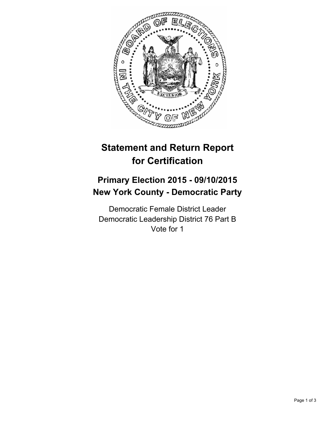

# **Statement and Return Report for Certification**

# **Primary Election 2015 - 09/10/2015 New York County - Democratic Party**

Democratic Female District Leader Democratic Leadership District 76 Part B Vote for 1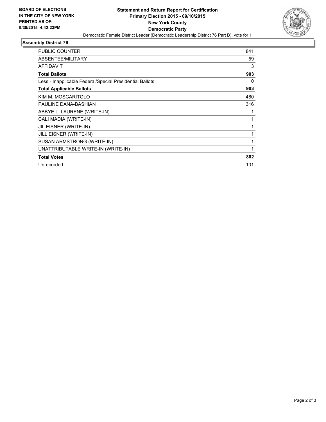

#### **Assembly District 76**

| <b>PUBLIC COUNTER</b>                                    | 841 |
|----------------------------------------------------------|-----|
| ABSENTEE/MILITARY                                        | 59  |
| <b>AFFIDAVIT</b>                                         | 3   |
| <b>Total Ballots</b>                                     | 903 |
| Less - Inapplicable Federal/Special Presidential Ballots | 0   |
| <b>Total Applicable Ballots</b>                          | 903 |
| KIM M. MOSCARITOLO                                       | 480 |
| PAULINE DANA-BASHIAN                                     | 316 |
| ABBYE L. LAURENE (WRITE-IN)                              |     |
| CALI MADIA (WRITE-IN)                                    | 1   |
| JIL EISNER (WRITE-IN)                                    |     |
| <b>JILL EISNER (WRITE-IN)</b>                            |     |
| SUSAN ARMSTRONG (WRITE-IN)                               | 1   |
| UNATTRIBUTABLE WRITE-IN (WRITE-IN)                       | 1   |
| <b>Total Votes</b>                                       | 802 |
| Unrecorded                                               | 101 |